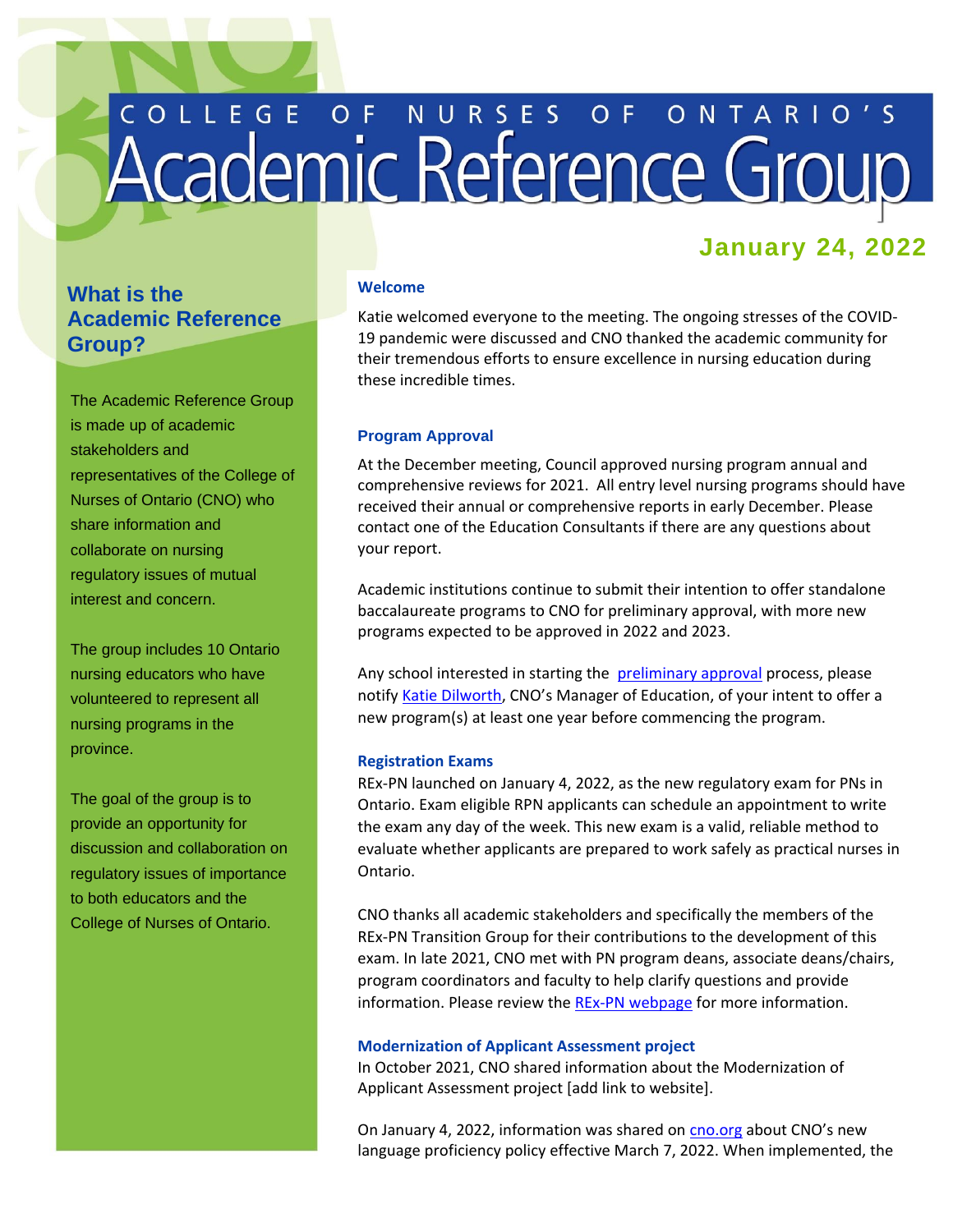# COLLEGE OF NURSES OF ONTARIO'S

# **January 24, 2022**

# **What is the Academic Reference Group?**

The Academic Reference Group is made up of academic stakeholders and representatives of the College of Nurses of Ontario (CNO) who share information and collaborate on nursing regulatory issues of mutual interest and concern.

The group includes 10 Ontario nursing educators who have volunteered to represent all nursing programs in the province.

The goal of the group is to provide an opportunity for discussion and collaboration on regulatory issues of importance to both educators and the College of Nurses of Ontario.

### **Welcome**

Katie welcomed everyone to the meeting. The ongoing stresses of the COVID-19 pandemic were discussed and CNO thanked the academic community for their tremendous efforts to ensure excellence in nursing education during these incredible times.

### **Program Approval**

At the December meeting, Council approved nursing program annual and comprehensive reviews for 2021. All entry level nursing programs should have received their annual or comprehensive reports in early December. Please contact one of the Education Consultants if there are any questions about your report.

Academic institutions continue to submit their intention to offer standalone baccalaureate programs to CNO for preliminary approval, with more new programs expected to be approved in 2022 and 2023.

Any school interested in starting the **[preliminary approval](https://www.cno.org/en/become-a-nurse/nursing-education-program-approval/)** process, please notif[y Katie Dilworth](mailto:kdilworth@cnomail.org), CNO's Manager of Education, of your intent to offer a new program(s) at least one year before commencing the program.

### **Registration Exams**

REx-PN launched on January 4, 2022, as the new regulatory exam for PNs in Ontario. Exam eligible RPN applicants can schedule an appointment to write the exam any day of the week. This new exam is a valid, reliable method to evaluate whether applicants are prepared to work safely as practical nurses in Ontario.

CNO thanks all academic stakeholders and specifically the members of the REx-PN Transition Group for their contributions to the development of this exam. In late 2021, CNO met with PN program deans, associate deans/chairs, program coordinators and faculty to help clarify questions and provide information. Please review the REx-PN [webpage](https://www.cno.org/en/trending-topics/updating-rpn-competencies-and-exam/) for more information.

### **Modernization of Applicant Assessment project**

In October 2021, CNO shared information about the Modernization of Applicant Assessment project [add link to website].

On January 4, 2022, information was shared on [cno.org](https://www.cno.org/en/news/2022/january-2022/changes-coming-to-cnos-language-proficiency-policy/) about CNO's new language proficiency policy effective March 7, 2022. When implemented, the